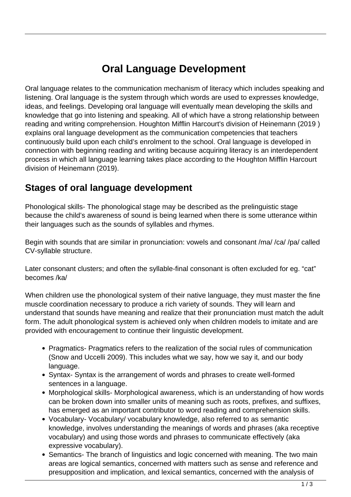## **Oral Language Development**

Oral language relates to the communication mechanism of literacy which includes speaking and listening. Oral language is the system through which words are used to expresses knowledge, ideas, and feelings. Developing oral language will eventually mean developing the skills and knowledge that go into listening and speaking. All of which have a strong relationship between reading and writing comprehension. Houghton Mifflin Harcourt's division of Heinemann (2019 ) explains oral language development as the communication competencies that teachers continuously build upon each child's enrolment to the school. Oral language is developed in connection with beginning reading and writing because acquiring literacy is an interdependent process in which all language learning takes place according to the Houghton Mifflin Harcourt division of Heinemann (2019).

## **Stages of oral language development**

Phonological skills- The phonological stage may be described as the prelinguistic stage because the child's awareness of sound is being learned when there is some utterance within their languages such as the sounds of syllables and rhymes.

Begin with sounds that are similar in pronunciation: vowels and consonant /ma/ /ca/ /pa/ called CV-syllable structure.

Later consonant clusters; and often the syllable-final consonant is often excluded for eg. "cat" becomes /ka/

When children use the phonological system of their native language, they must master the fine muscle coordination necessary to produce a rich variety of sounds. They will learn and understand that sounds have meaning and realize that their pronunciation must match the adult form. The adult phonological system is achieved only when children models to imitate and are provided with encouragement to continue their linguistic development.

- Pragmatics- Pragmatics refers to the realization of the social rules of communication (Snow and Uccelli 2009). This includes what we say, how we say it, and our body language.
- Syntax- Syntax is the arrangement of words and phrases to create well-formed sentences in a language.
- Morphological skills- Morphological awareness, which is an understanding of how words can be broken down into smaller units of meaning such as roots, prefixes, and suffixes, has emerged as an important contributor to word reading and comprehension skills.
- Vocabulary- Vocabulary/ vocabulary knowledge, also referred to as semantic knowledge, involves understanding the meanings of words and phrases (aka receptive vocabulary) and using those words and phrases to communicate effectively (aka expressive vocabulary).
- Semantics- The branch of linguistics and logic concerned with meaning. The two main areas are logical semantics, concerned with matters such as sense and reference and presupposition and implication, and lexical semantics, concerned with the analysis of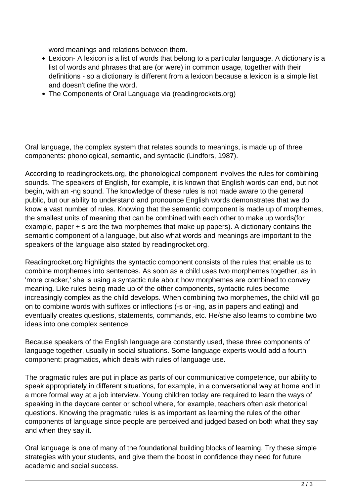word meanings and relations between them.

- Lexicon- A lexicon is a list of words that belong to a particular language. A dictionary is a list of words and phrases that are (or were) in common usage, together with their definitions - so a dictionary is different from a lexicon because a lexicon is a simple list and doesn't define the word.
- The Components of Oral Language via (readingrockets.org)

Oral language, the complex system that relates sounds to meanings, is made up of three components: phonological, semantic, and syntactic (Lindfors, 1987).

According to readingrockets.org, the phonological component involves the rules for combining sounds. The speakers of English, for example, it is known that English words can end, but not begin, with an -ng sound. The knowledge of these rules is not made aware to the general public, but our ability to understand and pronounce English words demonstrates that we do know a vast number of rules. Knowing that the semantic component is made up of morphemes, the smallest units of meaning that can be combined with each other to make up words(for example, paper + s are the two morphemes that make up papers). A dictionary contains the semantic component of a language, but also what words and meanings are important to the speakers of the language also stated by readingrocket.org.

Readingrocket.org highlights the syntactic component consists of the rules that enable us to combine morphemes into sentences. As soon as a child uses two morphemes together, as in 'more cracker,' she is using a syntactic rule about how morphemes are combined to convey meaning. Like rules being made up of the other components, syntactic rules become increasingly complex as the child develops. When combining two morphemes, the child will go on to combine words with suffixes or inflections (-s or -ing, as in papers and eating) and eventually creates questions, statements, commands, etc. He/she also learns to combine two ideas into one complex sentence.

Because speakers of the English language are constantly used, these three components of language together, usually in social situations. Some language experts would add a fourth component: pragmatics, which deals with rules of language use.

The pragmatic rules are put in place as parts of our communicative competence, our ability to speak appropriately in different situations, for example, in a conversational way at home and in a more formal way at a job interview. Young children today are required to learn the ways of speaking in the daycare center or school where, for example, teachers often ask rhetorical questions. Knowing the pragmatic rules is as important as learning the rules of the other components of language since people are perceived and judged based on both what they say and when they say it.

Oral language is one of many of the foundational building blocks of learning. Try these simple strategies with your students, and give them the boost in confidence they need for future academic and social success.